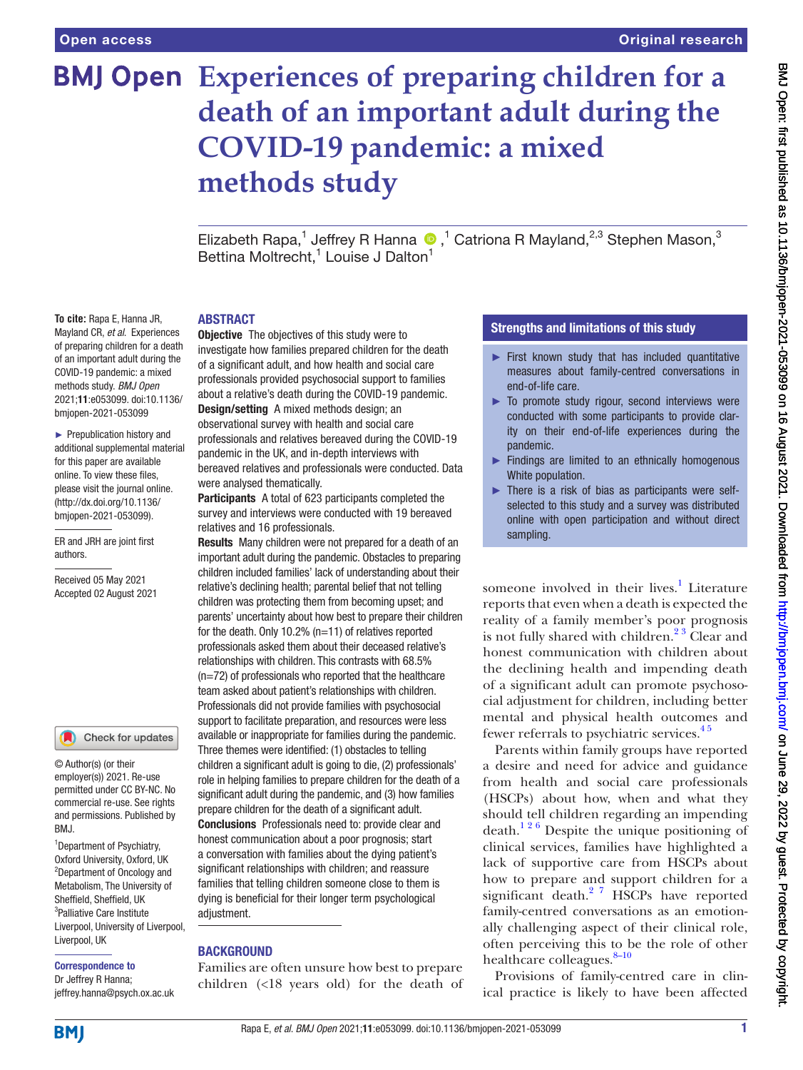# **Experiences of preparing children for a death of an important adult during the COVID-19 pandemic: a mixed methods study**

ElizabethRapa,<sup>1</sup> Jeffrey R Hanna <sup>®</sup>,<sup>1</sup> Catriona R Mayland,<sup>2,3</sup> Stephen Mason,<sup>3</sup> Bettina Moltrecht,<sup>1</sup> Louise J Dalton<sup>1</sup>

#### ABSTRACT

**To cite:** Rapa E, Hanna JR, Mayland CR, *et al*. Experiences of preparing children for a death of an important adult during the COVID-19 pandemic: a mixed methods study. *BMJ Open* 2021;11:e053099. doi:10.1136/ bmjopen-2021-053099

► Prepublication history and additional supplemental material for this paper are available online. To view these files, please visit the journal online. (http://dx.doi.org/10.1136/ bmjopen-2021-053099).

ER and JRH are joint first authors.

Received 05 May 2021 Accepted 02 August 2021

#### Check for updates

© Author(s) (or their employer(s)) 2021. Re-use permitted under CC BY-NC. No commercial re-use. See rights and permissions. Published by BMJ.

<sup>1</sup> Department of Psychiatry, Oxford University, Oxford, UK 2 Department of Oncology and Metabolism, The University of Sheffield, Sheffield, UK <sup>3</sup>Palliative Care Institute Liverpool, University of Liverpool, Liverpool, UK

Correspondence to

Dr Jeffrey R Hanna; jeffrey.hanna@psych.ox.ac.uk

**Objective** The objectives of this study were to investigate how families prepared children for the death of a significant adult, and how health and social care professionals provided psychosocial support to families about a relative's death during the COVID-19 pandemic. Design/setting A mixed methods design; an observational survey with health and social care professionals and relatives bereaved during the COVID-19 pandemic in the UK, and in-depth interviews with bereaved relatives and professionals were conducted. Data were analysed thematically.

Participants A total of 623 participants completed the survey and interviews were conducted with 19 bereaved relatives and 16 professionals.

Results Many children were not prepared for a death of an important adult during the pandemic. Obstacles to preparing children included families' lack of understanding about their relative's declining health; parental belief that not telling children was protecting them from becoming upset; and parents' uncertainty about how best to prepare their children for the death. Only 10.2% (n=11) of relatives reported professionals asked them about their deceased relative's relationships with children. This contrasts with 68.5% (n=72) of professionals who reported that the healthcare team asked about patient's relationships with children. Professionals did not provide families with psychosocial support to facilitate preparation, and resources were less available or inappropriate for families during the pandemic. Three themes were identified: (1) obstacles to telling children a significant adult is going to die, (2) professionals' role in helping families to prepare children for the death of a significant adult during the pandemic, and (3) how families prepare children for the death of a significant adult. Conclusions Professionals need to: provide clear and honest communication about a poor prognosis; start a conversation with families about the dying patient's significant relationships with children; and reassure families that telling children someone close to them is dying is beneficial for their longer term psychological adiustment.

#### BACKGROUND

Families are often unsure how best to prepare children (<18 years old) for the death of

#### Strengths and limitations of this study

- ► First known study that has included quantitative measures about family-centred conversations in end-of-life care.
- ► To promote study rigour, second interviews were conducted with some participants to provide clarity on their end-of-life experiences during the pandemic.
- ► Findings are limited to an ethnically homogenous White population.
- ► There is a risk of bias as participants were selfselected to this study and a survey was distributed online with open participation and without direct sampling.

someone involved in their lives.<sup>[1](#page-9-0)</sup> Literature reports that even when a death is expected the reality of a family member's poor prognosis is not fully shared with children. $2<sup>3</sup>$  Clear and honest communication with children about the declining health and impending death of a significant adult can promote psychosocial adjustment for children, including better mental and physical health outcomes and fewer referrals to psychiatric services.<sup>45</sup>

Parents within family groups have reported a desire and need for advice and guidance from health and social care professionals (HSCPs) about how, when and what they should tell children regarding an impending death.<sup>126</sup> Despite the unique positioning of clinical services, families have highlighted a lack of supportive care from HSCPs about how to prepare and support children for a significant death.<sup>2</sup> <sup>7</sup> HSCPs have reported family-centred conversations as an emotionally challenging aspect of their clinical role, often perceiving this to be the role of other healthcare colleagues.<sup>8-10</sup>

Provisions of family-centred care in clinical practice is likely to have been affected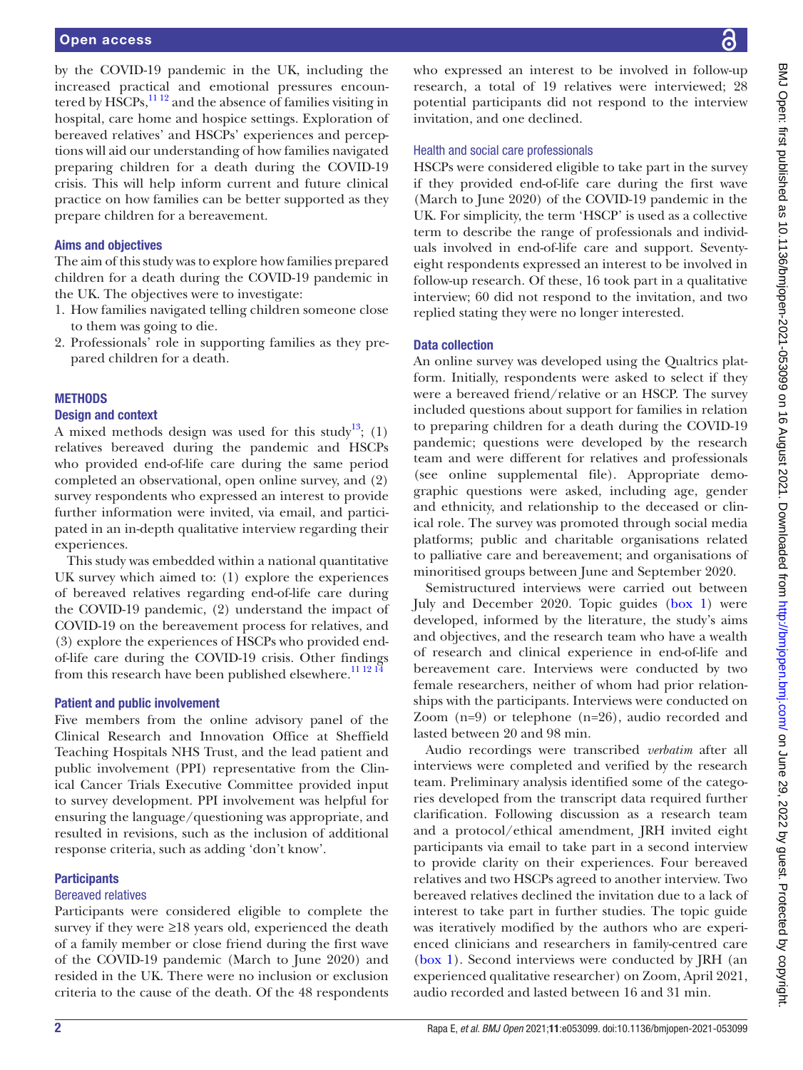by the COVID-19 pandemic in the UK, including the increased practical and emotional pressures encountered by  $\widehat{HSCPs}$ ,  $\frac{1112}{2}$  and the absence of families visiting in hospital, care home and hospice settings. Exploration of bereaved relatives' and HSCPs' experiences and perceptions will aid our understanding of how families navigated preparing children for a death during the COVID-19 crisis. This will help inform current and future clinical practice on how families can be better supported as they prepare children for a bereavement.

#### Aims and objectives

The aim of this study was to explore how families prepared children for a death during the COVID-19 pandemic in the UK. The objectives were to investigate:

- 1. How families navigated telling children someone close to them was going to die.
- 2. Professionals' role in supporting families as they prepared children for a death.

#### **METHODS**

#### Design and context

A mixed methods design was used for this study<sup>13</sup>; (1) relatives bereaved during the pandemic and HSCPs who provided end-of-life care during the same period completed an observational, open online survey, and (2) survey respondents who expressed an interest to provide further information were invited, via email, and participated in an in-depth qualitative interview regarding their experiences.

This study was embedded within a national quantitative UK survey which aimed to: (1) explore the experiences of bereaved relatives regarding end-of-life care during the COVID-19 pandemic, (2) understand the impact of COVID-19 on the bereavement process for relatives, and (3) explore the experiences of HSCPs who provided endof-life care during the COVID-19 crisis. Other findings from this research have been published elsewhere.<sup>11 12 14</sup>

#### Patient and public involvement

Five members from the online advisory panel of the Clinical Research and Innovation Office at Sheffield Teaching Hospitals NHS Trust, and the lead patient and public involvement (PPI) representative from the Clinical Cancer Trials Executive Committee provided input to survey development. PPI involvement was helpful for ensuring the language/questioning was appropriate, and resulted in revisions, such as the inclusion of additional response criteria, such as adding 'don't know'.

#### **Participants**

#### Bereaved relatives

Participants were considered eligible to complete the survey if they were  $\geq 18$  years old, experienced the death of a family member or close friend during the first wave of the COVID-19 pandemic (March to June 2020) and resided in the UK. There were no inclusion or exclusion criteria to the cause of the death. Of the 48 respondents

who expressed an interest to be involved in follow-up research, a total of 19 relatives were interviewed; 28 potential participants did not respond to the interview invitation, and one declined.

#### Health and social care professionals

HSCPs were considered eligible to take part in the survey if they provided end-of-life care during the first wave (March to June 2020) of the COVID-19 pandemic in the UK. For simplicity, the term 'HSCP' is used as a collective term to describe the range of professionals and individuals involved in end-of-life care and support. Seventyeight respondents expressed an interest to be involved in follow-up research. Of these, 16 took part in a qualitative interview; 60 did not respond to the invitation, and two replied stating they were no longer interested.

#### Data collection

An online survey was developed using the Qualtrics platform. Initially, respondents were asked to select if they were a bereaved friend/relative or an HSCP. The survey included questions about support for families in relation to preparing children for a death during the COVID-19 pandemic; questions were developed by the research team and were different for relatives and professionals (see [online supplemental file\)](https://dx.doi.org/10.1136/bmjopen-2021-053099). Appropriate demographic questions were asked, including age, gender and ethnicity, and relationship to the deceased or clinical role. The survey was promoted through social media platforms; public and charitable organisations related to palliative care and bereavement; and organisations of minoritised groups between June and September 2020.

Semistructured interviews were carried out between July and December 2020. Topic guides ([box](#page-2-0) 1) were developed, informed by the literature, the study's aims and objectives, and the research team who have a wealth of research and clinical experience in end-of-life and bereavement care. Interviews were conducted by two female researchers, neither of whom had prior relationships with the participants. Interviews were conducted on Zoom (n=9) or telephone (n=26), audio recorded and lasted between 20 and 98 min.

Audio recordings were transcribed *verbatim* after all interviews were completed and verified by the research team. Preliminary analysis identified some of the categories developed from the transcript data required further clarification. Following discussion as a research team and a protocol/ethical amendment, JRH invited eight participants via email to take part in a second interview to provide clarity on their experiences. Four bereaved relatives and two HSCPs agreed to another interview. Two bereaved relatives declined the invitation due to a lack of interest to take part in further studies. The topic guide was iteratively modified by the authors who are experienced clinicians and researchers in family-centred care [\(box](#page-2-0) 1). Second interviews were conducted by JRH (an experienced qualitative researcher) on Zoom, April 2021, audio recorded and lasted between 16 and 31 min.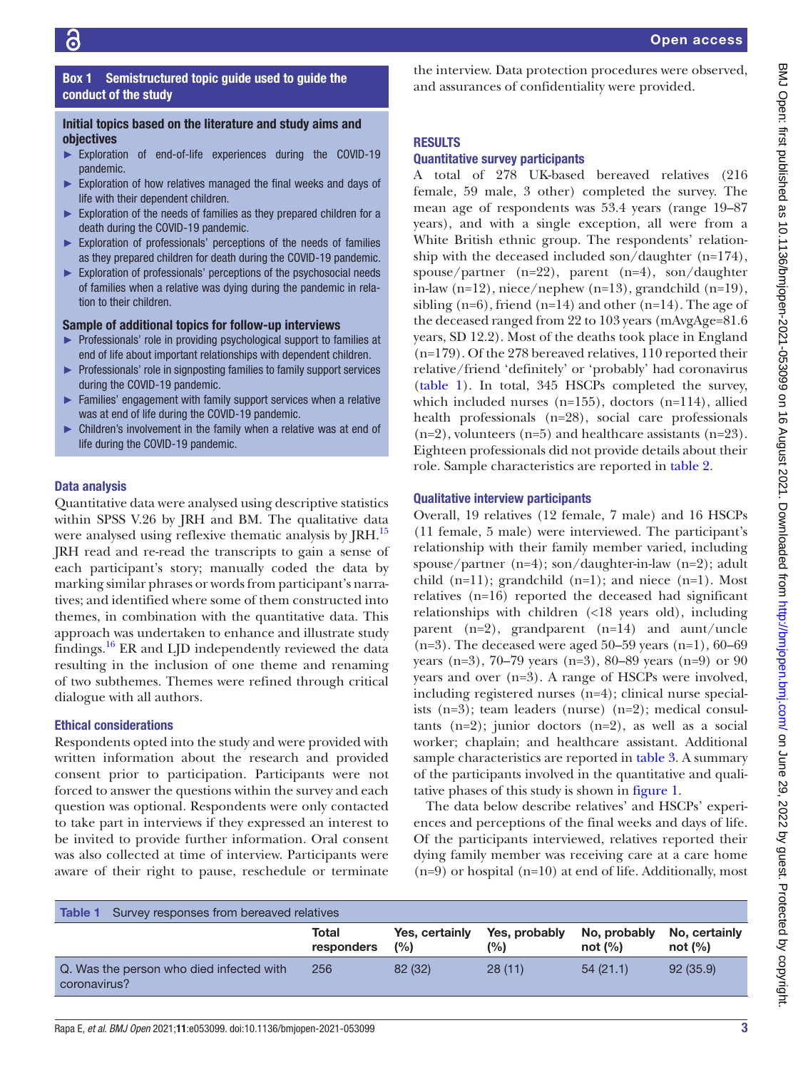#### <span id="page-2-0"></span>RESULTS conduct of the study Initial topics based on the literature and study aims and objectives ► Exploration of end-of-life experiences during the COVID-19 pandemic. ► Exploration of how relatives managed the final weeks and days of life with their dependent children.

► Exploration of the needs of families as they prepared children for a death during the COVID-19 pandemic.

Box 1 Semistructured topic guide used to guide the

- ► Exploration of professionals' perceptions of the needs of families as they prepared children for death during the COVID-19 pandemic.
- ► Exploration of professionals' perceptions of the psychosocial needs of families when a relative was dying during the pandemic in relation to their children.

#### Sample of additional topics for follow-up interviews

- ► Professionals' role in providing psychological support to families at end of life about important relationships with dependent children.
- ► Professionals' role in signposting families to family support services during the COVID-19 pandemic.
- ► Families' engagement with family support services when a relative was at end of life during the COVID-19 pandemic.
- ► Children's involvement in the family when a relative was at end of life during the COVID-19 pandemic.

#### Data analysis

Quantitative data were analysed using descriptive statistics within SPSS V.26 by JRH and BM. The qualitative data were analysed using reflexive thematic analysis by JRH.<sup>15</sup> JRH read and re-read the transcripts to gain a sense of each participant's story; manually coded the data by marking similar phrases or words from participant's narratives; and identified where some of them constructed into themes, in combination with the quantitative data. This approach was undertaken to enhance and illustrate study findings.<sup>[16](#page-9-7)</sup> ER and LJD independently reviewed the data resulting in the inclusion of one theme and renaming of two subthemes. Themes were refined through critical dialogue with all authors.

#### Ethical considerations

Respondents opted into the study and were provided with written information about the research and provided consent prior to participation. Participants were not forced to answer the questions within the survey and each question was optional. Respondents were only contacted to take part in interviews if they expressed an interest to be invited to provide further information. Oral consent was also collected at time of interview. Participants were aware of their right to pause, reschedule or terminate

the interview. Data protection procedures were observed, and assurances of confidentiality were provided.

#### Quantitative survey participants

A total of 278 UK-based bereaved relatives (216 female, 59 male, 3 other) completed the survey. The mean age of respondents was 53.4 years (range 19–87 years), and with a single exception, all were from a White British ethnic group. The respondents' relationship with the deceased included son/daughter (n=174), spouse/partner (n=22), parent (n=4), son/daughter in-law (n=12), niece/nephew (n=13), grandchild (n=19), sibling  $(n=6)$ , friend  $(n=14)$  and other  $(n=14)$ . The age of the deceased ranged from 22 to 103 years (mAvgAge=81.6 years, SD 12.2). Most of the deaths took place in England (n=179). Of the 278 bereaved relatives, 110 reported their relative/friend 'definitely' or 'probably' had coronavirus [\(table](#page-2-1) 1). In total, 345 HSCPs completed the survey, which included nurses (n=155), doctors (n=114), allied health professionals (n=28), social care professionals  $(n=2)$ , volunteers  $(n=5)$  and healthcare assistants  $(n=23)$ . Eighteen professionals did not provide details about their role. Sample characteristics are reported in [table](#page-3-0) 2.

#### Qualitative interview participants

Overall, 19 relatives (12 female, 7 male) and 16 HSCPs (11 female, 5 male) were interviewed. The participant's relationship with their family member varied, including spouse/partner  $(n=4)$ ; son/daughter-in-law  $(n=2)$ ; adult child  $(n=11)$ ; grandchild  $(n=1)$ ; and niece  $(n=1)$ . Most relatives (n=16) reported the deceased had significant relationships with children (<18 years old), including parent (n=2), grandparent (n=14) and aunt/uncle  $(n=3)$ . The deceased were aged 50–59 years  $(n=1)$ , 60–69 years (n=3), 70–79 years (n=3), 80–89 years (n=9) or 90 years and over (n=3). A range of HSCPs were involved, including registered nurses (n=4); clinical nurse specialists (n=3); team leaders (nurse) (n=2); medical consultants  $(n=2)$ ; junior doctors  $(n=2)$ , as well as a social worker; chaplain; and healthcare assistant. Additional sample characteristics are reported in [table](#page-4-0) 3. A summary of the participants involved in the quantitative and qualitative phases of this study is shown in [figure](#page-5-0) 1.

The data below describe relatives' and HSCPs' experiences and perceptions of the final weeks and days of life. Of the participants interviewed, relatives reported their dying family member was receiving care at a care home (n=9) or hospital (n=10) at end of life. Additionally, most

<span id="page-2-1"></span>

| Survey responses from bereaved relatives<br>Table 1      |                     |                       |                      |                           |                             |
|----------------------------------------------------------|---------------------|-----------------------|----------------------|---------------------------|-----------------------------|
|                                                          | Total<br>responders | Yes, certainly<br>(%) | Yes, probably<br>(%) | No, probably<br>not $(%)$ | No, certainly<br>not $(\%)$ |
| Q. Was the person who died infected with<br>coronavirus? | 256                 | 82 (32)               | 28(11)               | 54(21.1)                  | 92(35.9)                    |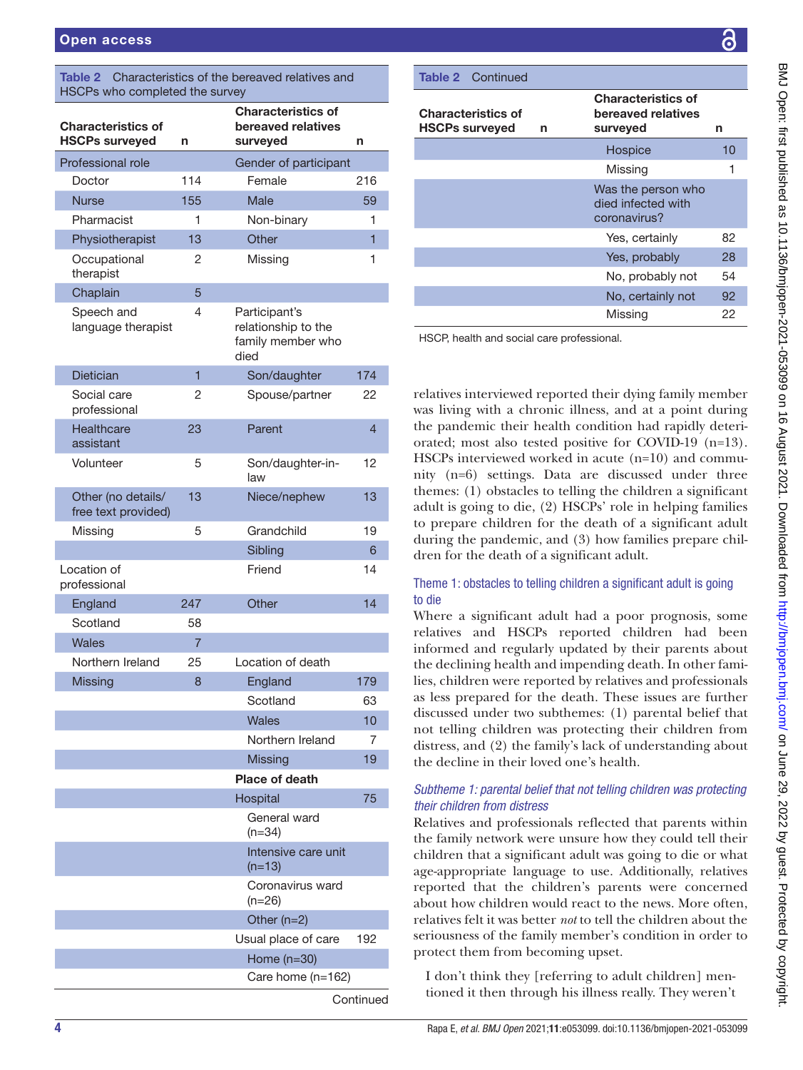<span id="page-3-0"></span>

| Characteristics of the bereaved relatives and<br><b>Table 2</b><br>HSCPs who completed the survey |                |                                                                   |                |  |  |  |
|---------------------------------------------------------------------------------------------------|----------------|-------------------------------------------------------------------|----------------|--|--|--|
| <b>Characteristics of</b><br><b>HSCPs surveyed</b>                                                | n              | <b>Characteristics of</b><br>bereaved relatives<br>surveyed       | n              |  |  |  |
| Professional role                                                                                 |                | Gender of participant                                             |                |  |  |  |
| Doctor                                                                                            | 114            | Female                                                            | 216            |  |  |  |
| <b>Nurse</b>                                                                                      | 155            | Male                                                              | 59             |  |  |  |
| Pharmacist                                                                                        | 1              | Non-binary                                                        | 1              |  |  |  |
| Physiotherapist                                                                                   | 13             | Other                                                             | $\overline{1}$ |  |  |  |
| Occupational<br>therapist                                                                         | 2              | Missing                                                           | 1              |  |  |  |
| Chaplain                                                                                          | 5              |                                                                   |                |  |  |  |
| Speech and<br>language therapist                                                                  | 4              | Participant's<br>relationship to the<br>family member who<br>died |                |  |  |  |
| <b>Dietician</b>                                                                                  | 1              | Son/daughter                                                      | 174            |  |  |  |
| Social care<br>professional                                                                       | 2              | Spouse/partner                                                    | 22             |  |  |  |
| Healthcare<br>assistant                                                                           | 23             | Parent                                                            | 4              |  |  |  |
| Volunteer                                                                                         | 5              | Son/daughter-in-<br>law                                           | 12             |  |  |  |
| Other (no details/<br>free text provided)                                                         | 13             | Niece/nephew                                                      | 13             |  |  |  |
| Missing                                                                                           | 5              | Grandchild                                                        | 19             |  |  |  |
|                                                                                                   |                | Sibling                                                           | 6              |  |  |  |
| Location of<br>professional                                                                       |                | Friend                                                            | 14             |  |  |  |
| England                                                                                           | 247            | Other                                                             | 14             |  |  |  |
| Scotland                                                                                          | 58             |                                                                   |                |  |  |  |
| Wales                                                                                             | $\overline{7}$ |                                                                   |                |  |  |  |
| Northern Ireland                                                                                  | 25             | Location of death                                                 |                |  |  |  |
| <b>Missing</b>                                                                                    | 8              | England                                                           | 179            |  |  |  |
|                                                                                                   |                | Scotland                                                          | 63             |  |  |  |
|                                                                                                   |                | <b>Wales</b>                                                      | 10             |  |  |  |
|                                                                                                   |                | Northern Ireland                                                  | 7              |  |  |  |
|                                                                                                   |                | <b>Missing</b>                                                    | 19             |  |  |  |
|                                                                                                   |                | <b>Place of death</b>                                             |                |  |  |  |
|                                                                                                   |                | Hospital<br>General ward                                          | 75             |  |  |  |
|                                                                                                   |                | $(n=34)$<br>Intensive care unit<br>$(n=13)$                       |                |  |  |  |
|                                                                                                   |                | Coronavirus ward<br>$(n=26)$                                      |                |  |  |  |
|                                                                                                   |                | Other $(n=2)$                                                     |                |  |  |  |
|                                                                                                   |                | Usual place of care                                               | 192            |  |  |  |
|                                                                                                   |                | Home $(n=30)$                                                     |                |  |  |  |
|                                                                                                   |                | Care home (n=162)                                                 |                |  |  |  |
|                                                                                                   |                |                                                                   | Continued      |  |  |  |

| <b>Table 2</b> Continued                           |   |                                                             |    |
|----------------------------------------------------|---|-------------------------------------------------------------|----|
| <b>Characteristics of</b><br><b>HSCPs surveyed</b> | n | <b>Characteristics of</b><br>bereaved relatives<br>surveyed | n  |
|                                                    |   | Hospice                                                     | 10 |
|                                                    |   | Missing                                                     |    |
|                                                    |   | Was the person who<br>died infected with<br>coronavirus?    |    |
|                                                    |   | Yes, certainly                                              | 82 |
|                                                    |   | Yes, probably                                               | 28 |
|                                                    |   | No, probably not                                            | 54 |
|                                                    |   | No, certainly not                                           | 92 |
|                                                    |   | Missing                                                     | 22 |

HSCP, health and social care professional.

relatives interviewed reported their dying family member was living with a chronic illness, and at a point during the pandemic their health condition had rapidly deteriorated; most also tested positive for COVID-19 (n=13). HSCPs interviewed worked in acute (n=10) and community (n=6) settings. Data are discussed under three themes: (1) obstacles to telling the children a significant adult is going to die, (2) HSCPs' role in helping families to prepare children for the death of a significant adult during the pandemic, and (3) how families prepare children for the death of a significant adult.

#### Theme 1: obstacles to telling children a significant adult is going to die

Where a significant adult had a poor prognosis, some relatives and HSCPs reported children had been informed and regularly updated by their parents about the declining health and impending death. In other families, children were reported by relatives and professionals as less prepared for the death. These issues are further discussed under two subthemes: (1) parental belief that not telling children was protecting their children from distress, and (2) the family's lack of understanding about the decline in their loved one's health.

#### *Subtheme 1: parental belief that not telling children was protecting their children from distress*

Relatives and professionals reflected that parents within the family network were unsure how they could tell their children that a significant adult was going to die or what age-appropriate language to use. Additionally, relatives reported that the children's parents were concerned about how children would react to the news. More often, relatives felt it was better *not* to tell the children about the seriousness of the family member's condition in order to protect them from becoming upset.

I don't think they [referring to adult children] mentioned it then through his illness really. They weren't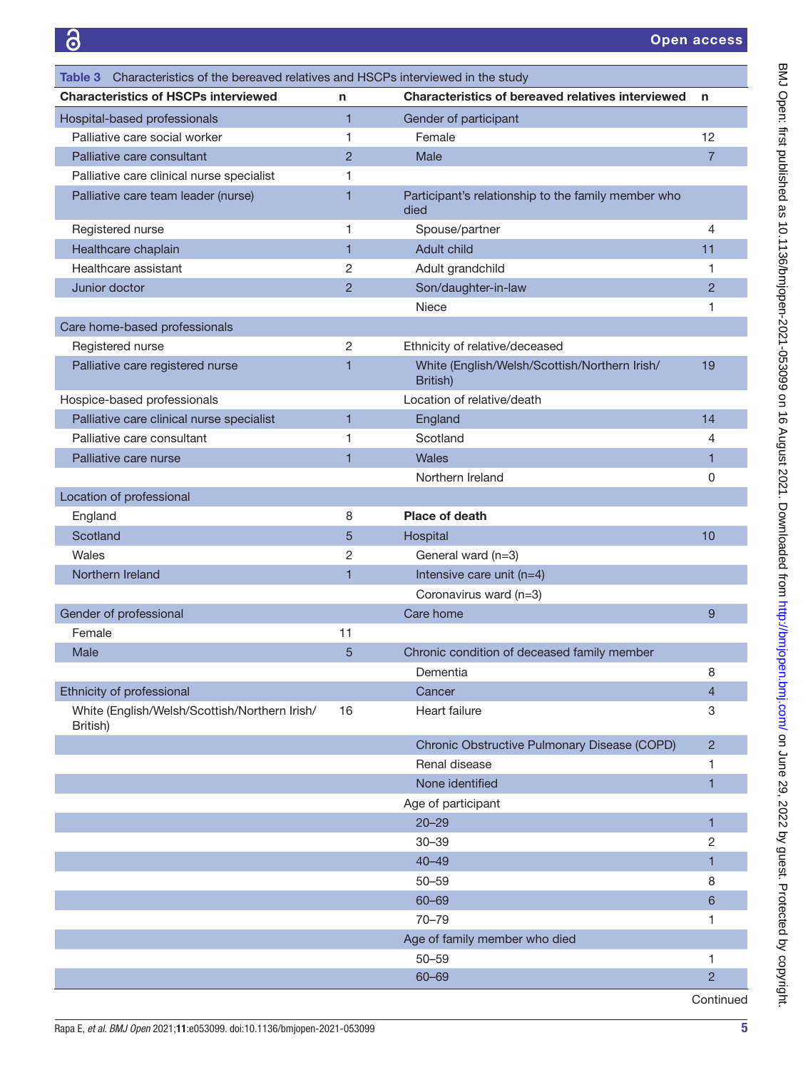<span id="page-4-0"></span>

| Characteristics of the bereaved relatives and HSCPs interviewed in the study<br>Table 3 I |                |                                                             |                |
|-------------------------------------------------------------------------------------------|----------------|-------------------------------------------------------------|----------------|
| <b>Characteristics of HSCPs interviewed</b>                                               | n              | <b>Characteristics of bereaved relatives interviewed</b>    | n              |
| Hospital-based professionals                                                              | $\overline{1}$ | Gender of participant                                       |                |
| Palliative care social worker                                                             | 1              | Female                                                      | 12             |
| Palliative care consultant                                                                | $\overline{2}$ | Male                                                        | $\overline{7}$ |
| Palliative care clinical nurse specialist                                                 | 1              |                                                             |                |
| Palliative care team leader (nurse)                                                       | 1              | Participant's relationship to the family member who<br>died |                |
| Registered nurse                                                                          | 1              | Spouse/partner                                              | 4              |
| Healthcare chaplain                                                                       | 1              | Adult child                                                 | 11             |
| Healthcare assistant                                                                      | 2              | Adult grandchild                                            | 1              |
| Junior doctor                                                                             | $\overline{2}$ | Son/daughter-in-law                                         | $\overline{2}$ |
|                                                                                           |                | <b>Niece</b>                                                | 1              |
| Care home-based professionals                                                             |                |                                                             |                |
| Registered nurse                                                                          | 2              | Ethnicity of relative/deceased                              |                |
| Palliative care registered nurse                                                          | 1              | White (English/Welsh/Scottish/Northern Irish/<br>British)   | 19             |
| Hospice-based professionals                                                               |                | Location of relative/death                                  |                |
| Palliative care clinical nurse specialist                                                 | 1              | England                                                     | 14             |
| Palliative care consultant                                                                | 1              | Scotland                                                    | 4              |
| Palliative care nurse                                                                     | 1              | Wales                                                       | 1              |
|                                                                                           |                | Northern Ireland                                            | 0              |
| Location of professional                                                                  |                |                                                             |                |
| England                                                                                   | 8              | Place of death                                              |                |
| Scotland                                                                                  | 5              | Hospital                                                    | 10             |
| Wales                                                                                     | $\overline{2}$ | General ward (n=3)                                          |                |
| Northern Ireland                                                                          | 1              | Intensive care unit $(n=4)$                                 |                |
|                                                                                           |                | Coronavirus ward (n=3)                                      |                |
| Gender of professional                                                                    |                | Care home                                                   | 9              |
| Female                                                                                    | 11             |                                                             |                |
| Male                                                                                      | 5              | Chronic condition of deceased family member                 |                |
|                                                                                           |                | Dementia                                                    | 8              |
| Ethnicity of professional                                                                 |                | Cancer                                                      | $\overline{4}$ |
| White (English/Welsh/Scottish/Northern Irish/<br>British)                                 | 16             | Heart failure                                               | 3              |
|                                                                                           |                | Chronic Obstructive Pulmonary Disease (COPD)                | $\overline{2}$ |
|                                                                                           |                | Renal disease                                               | 1              |
|                                                                                           |                | None identified                                             | 1              |
|                                                                                           |                | Age of participant                                          |                |
|                                                                                           |                | $20 - 29$                                                   | 1              |
|                                                                                           |                | $30 - 39$                                                   | 2              |
|                                                                                           |                | $40 - 49$                                                   | 1              |
|                                                                                           |                | $50 - 59$                                                   | 8              |
|                                                                                           |                | 60-69                                                       | 6              |
|                                                                                           |                | $70 - 79$                                                   | 1              |
|                                                                                           |                | Age of family member who died                               |                |
|                                                                                           |                | $50 - 59$                                                   | 1              |
|                                                                                           |                | $60 - 69$                                                   | $\overline{2}$ |
|                                                                                           |                |                                                             | Continued      |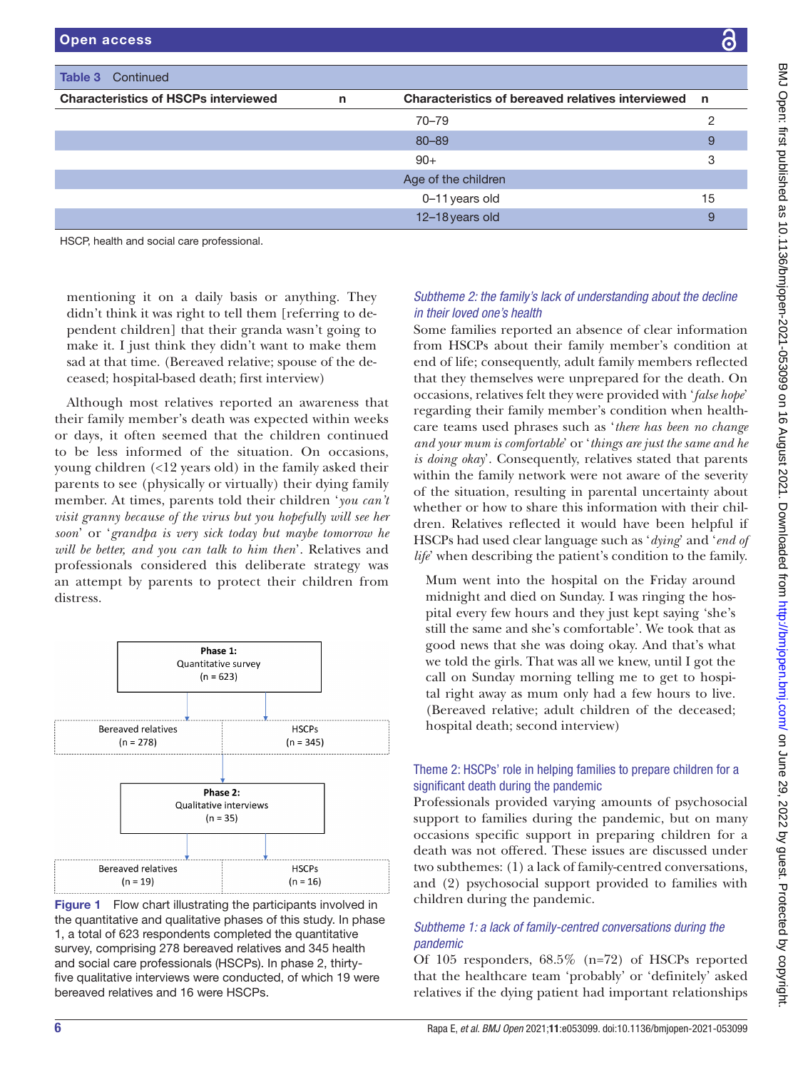| Open access                                   |              |                                                     | $\bullet$ |  |
|-----------------------------------------------|--------------|-----------------------------------------------------|-----------|--|
|                                               |              |                                                     |           |  |
| <b>Table 3</b> Continued                      |              |                                                     |           |  |
| <b>Characteristics of HSCPs interviewed</b>   | $\mathsf{n}$ | Characteristics of bereaved relatives interviewed n |           |  |
|                                               |              | $70 - 79$                                           | ≘         |  |
|                                               |              | 80-89                                               | 9         |  |
|                                               |              | $90+$                                               | 3         |  |
|                                               |              | Age of the children                                 |           |  |
|                                               |              | 0-11 years old                                      | 15        |  |
|                                               |              | 12-18 years old                                     | 9         |  |
| $1100D$ keelthe and again again mustanateural |              |                                                     |           |  |

HSCP, health and social care professional.

mentioning it on a daily basis or anything. They didn't think it was right to tell them [referring to dependent children] that their granda wasn't going to make it. I just think they didn't want to make them sad at that time. (Bereaved relative; spouse of the deceased; hospital-based death; first interview)

Although most relatives reported an awareness that their family member's death was expected within weeks or days, it often seemed that the children continued to be less informed of the situation. On occasions, young children (<12 years old) in the family asked their parents to see (physically or virtually) their dying family member. At times, parents told their children '*you can't visit granny because of the virus but you hopefully will see her soon*' or '*grandpa is very sick today but maybe tomorrow he will be better, and you can talk to him then*'. Relatives and professionals considered this deliberate strategy was an attempt by parents to protect their children from distress.



<span id="page-5-0"></span>Figure 1 Flow chart illustrating the participants involved in the quantitative and qualitative phases of this study. In phase 1, a total of 623 respondents completed the quantitative survey, comprising 278 bereaved relatives and 345 health and social care professionals (HSCPs). In phase 2, thirtyfive qualitative interviews were conducted, of which 19 were bereaved relatives and 16 were HSCPs.

### *Subtheme 2: the family's lack of understanding about the decline in their loved one's health*

Some families reported an absence of clear information from HSCPs about their family member's condition at end of life; consequently, adult family members reflected that they themselves were unprepared for the death. On occasions, relatives felt they were provided with '*false hope*' regarding their family member's condition when healthcare teams used phrases such as '*there has been no change and your mum is comfortable*' or '*things are just the same and he is doing okay*'. Consequently, relatives stated that parents within the family network were not aware of the severity of the situation, resulting in parental uncertainty about whether or how to share this information with their children. Relatives reflected it would have been helpful if HSCPs had used clear language such as '*dying*' and '*end of life*' when describing the patient's condition to the family.

Mum went into the hospital on the Friday around midnight and died on Sunday. I was ringing the hospital every few hours and they just kept saying 'she's still the same and she's comfortable'. We took that as good news that she was doing okay. And that's what we told the girls. That was all we knew, until I got the call on Sunday morning telling me to get to hospital right away as mum only had a few hours to live. (Bereaved relative; adult children of the deceased; hospital death; second interview)

#### Theme 2: HSCPs' role in helping families to prepare children for a significant death during the pandemic

Professionals provided varying amounts of psychosocial support to families during the pandemic, but on many occasions specific support in preparing children for a death was not offered. These issues are discussed under two subthemes: (1) a lack of family-centred conversations, and (2) psychosocial support provided to families with children during the pandemic.

#### *Subtheme 1: a lack of family-centred conversations during the pandemic*

Of 105 responders, 68.5% (n=72) of HSCPs reported that the healthcare team 'probably' or 'definitely' asked relatives if the dying patient had important relationships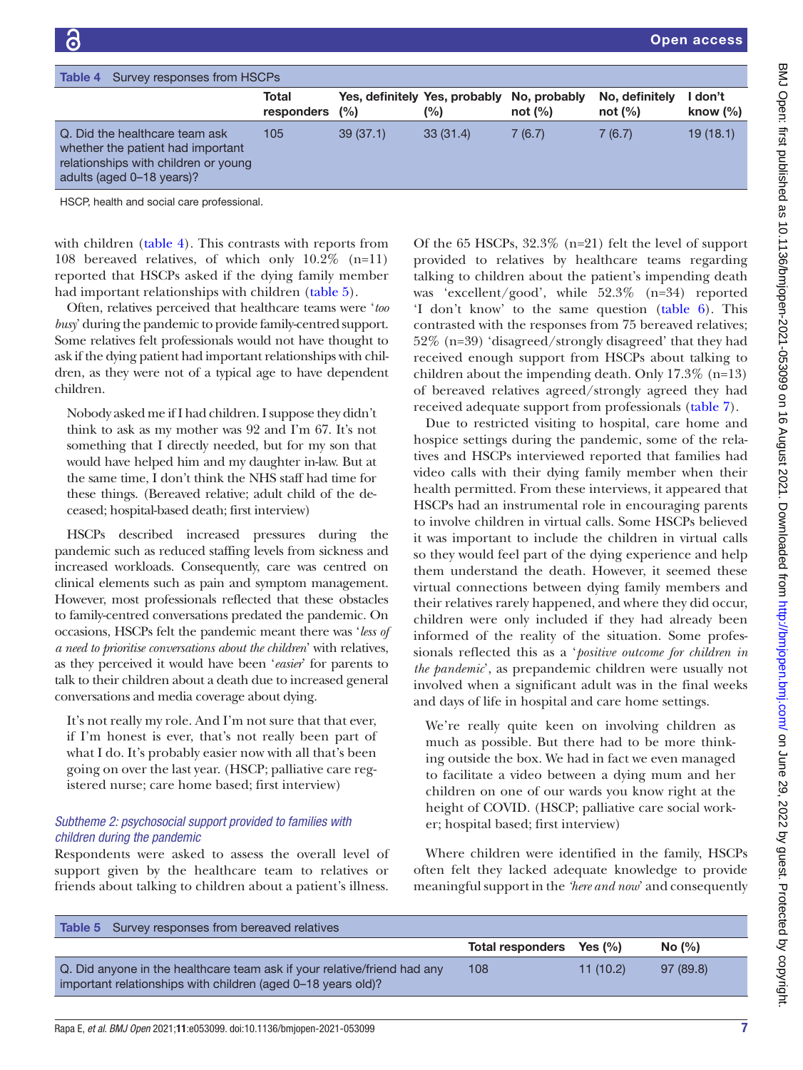<span id="page-6-0"></span>

| Survey responses from HSCPs<br>Table 4                                                                                                   |                     |          |                                      |                            |                              |                       |
|------------------------------------------------------------------------------------------------------------------------------------------|---------------------|----------|--------------------------------------|----------------------------|------------------------------|-----------------------|
|                                                                                                                                          | Total<br>responders | (%)      | Yes, definitely Yes, probably<br>(%) | No, probably<br>not $(\%)$ | No, definitely<br>not $(\%)$ | don't<br>know $(\% )$ |
| Q. Did the healthcare team ask<br>whether the patient had important<br>relationships with children or young<br>adults (aged 0-18 years)? | 105                 | 39(37.1) | 33(31.4)                             | 7(6.7)                     | 7(6.7)                       | 19(18.1)              |
| HOCD bootth and agoint gare professional                                                                                                 |                     |          |                                      |                            |                              |                       |

HSCP, health and social care professional.

with children ([table](#page-6-0) 4). This contrasts with reports from 108 bereaved relatives, of which only 10.2% (n=11) reported that HSCPs asked if the dying family member had important relationships with children ([table](#page-6-1) 5).

Often, relatives perceived that healthcare teams were '*too busy*' during the pandemic to provide family-centred support. Some relatives felt professionals would not have thought to ask if the dying patient had important relationships with children, as they were not of a typical age to have dependent children.

Nobody asked me if I had children. I suppose they didn't think to ask as my mother was 92 and I'm 67. It's not something that I directly needed, but for my son that would have helped him and my daughter in-law. But at the same time, I don't think the NHS staff had time for these things. (Bereaved relative; adult child of the deceased; hospital-based death; first interview)

HSCPs described increased pressures during the pandemic such as reduced staffing levels from sickness and increased workloads. Consequently, care was centred on clinical elements such as pain and symptom management. However, most professionals reflected that these obstacles to family-centred conversations predated the pandemic. On occasions, HSCPs felt the pandemic meant there was '*less of a need to prioritise conversations about the children*' with relatives, as they perceived it would have been '*easier*' for parents to talk to their children about a death due to increased general conversations and media coverage about dying.

It's not really my role. And I'm not sure that that ever, if I'm honest is ever, that's not really been part of what I do. It's probably easier now with all that's been going on over the last year. (HSCP; palliative care registered nurse; care home based; first interview)

#### *Subtheme 2: psychosocial support provided to families with children during the pandemic*

Respondents were asked to assess the overall level of support given by the healthcare team to relatives or friends about talking to children about a patient's illness.

Of the 65 HSCPs, 32.3% (n=21) felt the level of support provided to relatives by healthcare teams regarding talking to children about the patient's impending death was 'excellent/good', while 52.3% (n=34) reported 'I don't know' to the same question ([table](#page-7-0) 6). This contrasted with the responses from 75 bereaved relatives; 52% (n=39) 'disagreed/strongly disagreed' that they had received enough support from HSCPs about talking to children about the impending death. Only 17.3% (n=13) of bereaved relatives agreed/strongly agreed they had received adequate support from professionals [\(table](#page-7-1) 7).

Due to restricted visiting to hospital, care home and hospice settings during the pandemic, some of the relatives and HSCPs interviewed reported that families had video calls with their dying family member when their health permitted. From these interviews, it appeared that HSCPs had an instrumental role in encouraging parents to involve children in virtual calls. Some HSCPs believed it was important to include the children in virtual calls so they would feel part of the dying experience and help them understand the death. However, it seemed these virtual connections between dying family members and their relatives rarely happened, and where they did occur, children were only included if they had already been informed of the reality of the situation. Some professionals reflected this as a '*positive outcome for children in the pandemic*', as prepandemic children were usually not involved when a significant adult was in the final weeks and days of life in hospital and care home settings.

We're really quite keen on involving children as much as possible. But there had to be more thinking outside the box. We had in fact we even managed to facilitate a video between a dying mum and her children on one of our wards you know right at the height of COVID. (HSCP; palliative care social worker; hospital based; first interview)

Where children were identified in the family, HSCPs often felt they lacked adequate knowledge to provide meaningful support in the *'here and now*' and consequently

<span id="page-6-1"></span>

| <b>Table 5</b> Survey responses from bereaved relatives                                                                                  |                          |          |          |
|------------------------------------------------------------------------------------------------------------------------------------------|--------------------------|----------|----------|
|                                                                                                                                          | Total responders Yes (%) |          | No (%)   |
| Q. Did anyone in the healthcare team ask if your relative/friend had any<br>important relationships with children (aged 0-18 years old)? | 108                      | 11(10.2) | 97(89.8) |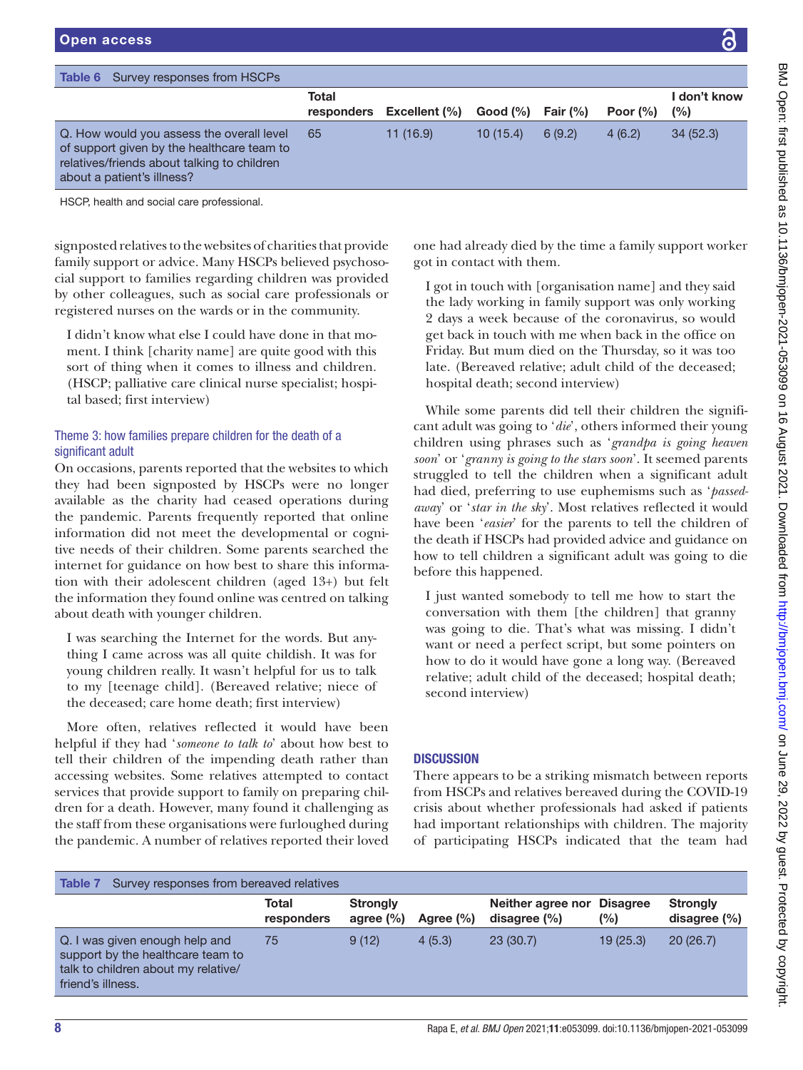<span id="page-7-0"></span>

| Survey responses from HSCPs<br>Table 6                                                                                                                               |                     |               |          |             |              |                        |
|----------------------------------------------------------------------------------------------------------------------------------------------------------------------|---------------------|---------------|----------|-------------|--------------|------------------------|
|                                                                                                                                                                      | Total<br>responders | Excellent (%) | Good (%) | Fair $(\%)$ | Poor $(\% )$ | I don't know<br>$(\%)$ |
| Q. How would you assess the overall level<br>of support given by the healthcare team to<br>relatives/friends about talking to children<br>about a patient's illness? | 65                  | 11(16.9)      | 10(15.4) | 6(9.2)      | 4(6.2)       | 34(52.3)               |

signposted relatives to the websites of charities that provide family support or advice. Many HSCPs believed psychosocial support to families regarding children was provided by other colleagues, such as social care professionals or registered nurses on the wards or in the community.

I didn't know what else I could have done in that moment. I think [charity name] are quite good with this sort of thing when it comes to illness and children. (HSCP; palliative care clinical nurse specialist; hospital based; first interview)

#### Theme 3: how families prepare children for the death of a significant adult

On occasions, parents reported that the websites to which they had been signposted by HSCPs were no longer available as the charity had ceased operations during the pandemic. Parents frequently reported that online information did not meet the developmental or cognitive needs of their children. Some parents searched the internet for guidance on how best to share this information with their adolescent children (aged 13+) but felt the information they found online was centred on talking about death with younger children.

I was searching the Internet for the words. But anything I came across was all quite childish. It was for young children really. It wasn't helpful for us to talk to my [teenage child]. (Bereaved relative; niece of the deceased; care home death; first interview)

More often, relatives reflected it would have been helpful if they had '*someone to talk to*' about how best to tell their children of the impending death rather than accessing websites. Some relatives attempted to contact services that provide support to family on preparing children for a death. However, many found it challenging as the staff from these organisations were furloughed during the pandemic. A number of relatives reported their loved

one had already died by the time a family support worker got in contact with them.

I got in touch with [organisation name] and they said the lady working in family support was only working 2 days a week because of the coronavirus, so would get back in touch with me when back in the office on Friday. But mum died on the Thursday, so it was too late. (Bereaved relative; adult child of the deceased; hospital death; second interview)

While some parents did tell their children the significant adult was going to '*die*', others informed their young children using phrases such as '*grandpa is going heaven soon*' or '*granny is going to the stars soon*'. It seemed parents struggled to tell the children when a significant adult had died, preferring to use euphemisms such as '*passedaway*' or '*star in the sky*'. Most relatives reflected it would have been '*easier*' for the parents to tell the children of the death if HSCPs had provided advice and guidance on how to tell children a significant adult was going to die before this happened.

I just wanted somebody to tell me how to start the conversation with them [the children] that granny was going to die. That's what was missing. I didn't want or need a perfect script, but some pointers on how to do it would have gone a long way. (Bereaved relative; adult child of the deceased; hospital death; second interview)

#### **DISCUSSION**

There appears to be a striking mismatch between reports from HSCPs and relatives bereaved during the COVID-19 crisis about whether professionals had asked if patients had important relationships with children. The majority of participating HSCPs indicated that the team had

<span id="page-7-1"></span>

| <b>Strongly</b><br>Neither agree nor Disagree<br><b>Strongly</b><br>Total<br>(%)<br>disagree $(\% )$<br>agree $(\% )$<br>Agree $(\% )$<br>responders<br>20(26.7)<br>9(12)<br>23(30.7)<br>19(25.3)<br>4(5.3)<br>Q. I was given enough help and<br>75<br>support by the healthcare team to<br>talk to children about my relative/<br>friend's illness. | Survey responses from bereaved relatives<br>Table 7 |  |  |                  |
|------------------------------------------------------------------------------------------------------------------------------------------------------------------------------------------------------------------------------------------------------------------------------------------------------------------------------------------------------|-----------------------------------------------------|--|--|------------------|
|                                                                                                                                                                                                                                                                                                                                                      |                                                     |  |  | disagree $(\% )$ |
|                                                                                                                                                                                                                                                                                                                                                      |                                                     |  |  |                  |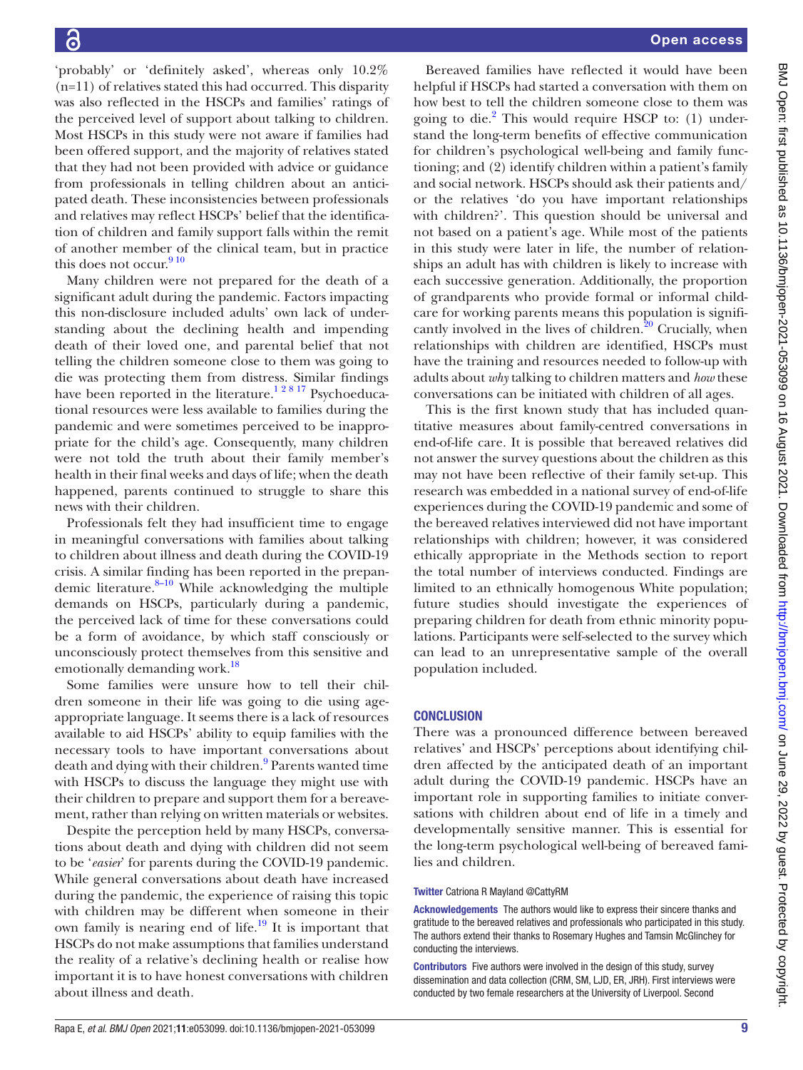'probably' or 'definitely asked', whereas only 10.2% (n=11) of relatives stated this had occurred. This disparity was also reflected in the HSCPs and families' ratings of the perceived level of support about talking to children. Most HSCPs in this study were not aware if families had been offered support, and the majority of relatives stated that they had not been provided with advice or guidance from professionals in telling children about an anticipated death. These inconsistencies between professionals and relatives may reflect HSCPs' belief that the identification of children and family support falls within the remit of another member of the clinical team, but in practice this does not occur.  $9^{10}$ 

Many children were not prepared for the death of a significant adult during the pandemic. Factors impacting this non-disclosure included adults' own lack of understanding about the declining health and impending death of their loved one, and parental belief that not telling the children someone close to them was going to die was protecting them from distress. Similar findings have been reported in the literature.<sup>12817</sup> Psychoeducational resources were less available to families during the pandemic and were sometimes perceived to be inappropriate for the child's age. Consequently, many children were not told the truth about their family member's health in their final weeks and days of life; when the death happened, parents continued to struggle to share this news with their children.

Professionals felt they had insufficient time to engage in meaningful conversations with families about talking to children about illness and death during the COVID-19 crisis. A similar finding has been reported in the prepandemic literature. $8-10$  While acknowledging the multiple demands on HSCPs, particularly during a pandemic, the perceived lack of time for these conversations could be a form of avoidance, by which staff consciously or unconsciously protect themselves from this sensitive and emotionally demanding work.<sup>[18](#page-9-9)</sup>

Some families were unsure how to tell their children someone in their life was going to die using ageappropriate language. It seems there is a lack of resources available to aid HSCPs' ability to equip families with the necessary tools to have important conversations about death and dying with their children.<sup>9</sup> Parents wanted time with HSCPs to discuss the language they might use with their children to prepare and support them for a bereavement, rather than relying on written materials or websites.

Despite the perception held by many HSCPs, conversations about death and dying with children did not seem to be '*easier*' for parents during the COVID-19 pandemic. While general conversations about death have increased during the pandemic, the experience of raising this topic with children may be different when someone in their own family is nearing end of life. $^{19}$  It is important that HSCPs do not make assumptions that families understand the reality of a relative's declining health or realise how important it is to have honest conversations with children about illness and death.

Bereaved families have reflected it would have been helpful if HSCPs had started a conversation with them on how best to tell the children someone close to them was going to die.<sup>[2](#page-9-1)</sup> This would require HSCP to: (1) understand the long-term benefits of effective communication for children's psychological well-being and family functioning; and (2) identify children within a patient's family and social network. HSCPs should ask their patients and/ or the relatives 'do you have important relationships with children?'. This question should be universal and not based on a patient's age. While most of the patients in this study were later in life, the number of relationships an adult has with children is likely to increase with each successive generation. Additionally, the proportion of grandparents who provide formal or informal childcare for working parents means this population is significantly involved in the lives of children. $20$  Crucially, when relationships with children are identified, HSCPs must have the training and resources needed to follow-up with adults about *why* talking to children matters and *how* these conversations can be initiated with children of all ages.

This is the first known study that has included quantitative measures about family-centred conversations in end-of-life care. It is possible that bereaved relatives did not answer the survey questions about the children as this may not have been reflective of their family set-up. This research was embedded in a national survey of end-of-life experiences during the COVID-19 pandemic and some of the bereaved relatives interviewed did not have important relationships with children; however, it was considered ethically appropriate in the Methods section to report the total number of interviews conducted. Findings are limited to an ethnically homogenous White population; future studies should investigate the experiences of preparing children for death from ethnic minority populations. Participants were self-selected to the survey which can lead to an unrepresentative sample of the overall population included.

#### **CONCLUSION**

There was a pronounced difference between bereaved relatives' and HSCPs' perceptions about identifying children affected by the anticipated death of an important adult during the COVID-19 pandemic. HSCPs have an important role in supporting families to initiate conversations with children about end of life in a timely and developmentally sensitive manner. This is essential for the long-term psychological well-being of bereaved families and children.

#### Twitter Catriona R Mayland [@CattyRM](https://twitter.com/CattyRM)

Acknowledgements The authors would like to express their sincere thanks and gratitude to the bereaved relatives and professionals who participated in this study. The authors extend their thanks to Rosemary Hughes and Tamsin McGlinchey for conducting the interviews.

Contributors Five authors were involved in the design of this study, survey dissemination and data collection (CRM, SM, LJD, ER, JRH). First interviews were conducted by two female researchers at the University of Liverpool. Second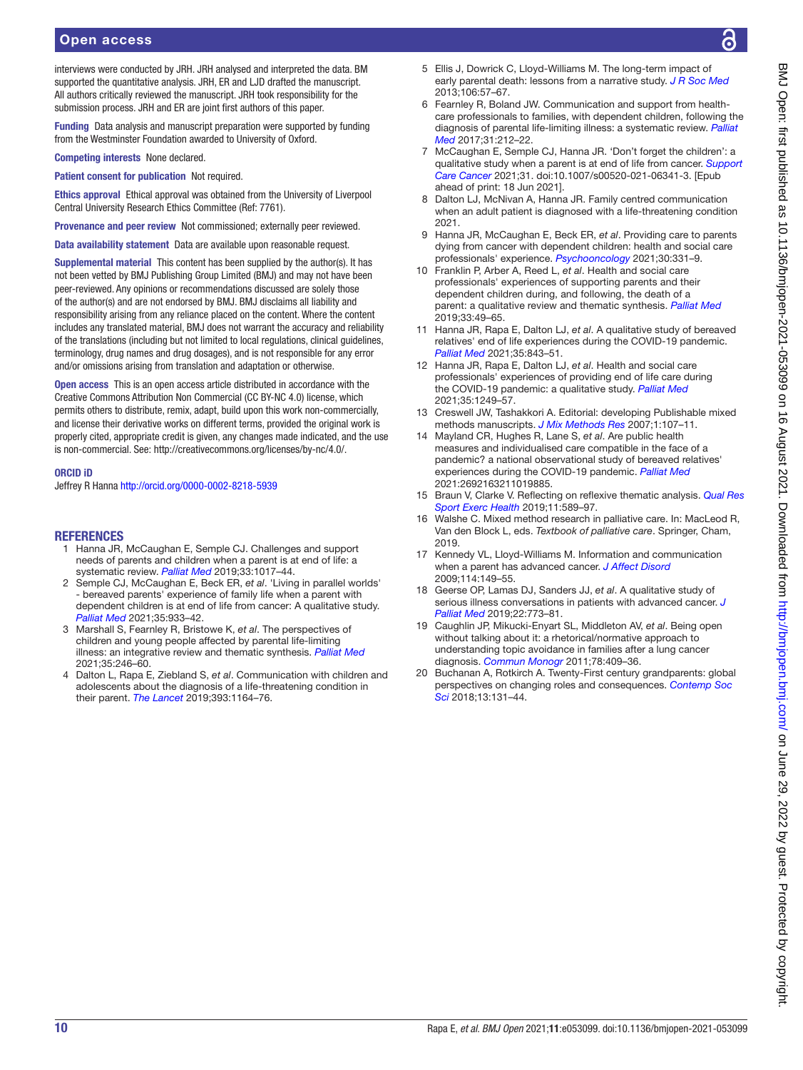interviews were conducted by JRH. JRH analysed and interpreted the data. BM supported the quantitative analysis. JRH, ER and LJD drafted the manuscript. All authors critically reviewed the manuscript. JRH took responsibility for the submission process. JRH and ER are joint first authors of this paper.

Funding Data analysis and manuscript preparation were supported by funding from the Westminster Foundation awarded to University of Oxford.

Competing interests None declared.

Patient consent for publication Not required.

Ethics approval Ethical approval was obtained from the University of Liverpool Central University Research Ethics Committee (Ref: 7761).

Provenance and peer review Not commissioned; externally peer reviewed.

Data availability statement Data are available upon reasonable request.

Supplemental material This content has been supplied by the author(s). It has not been vetted by BMJ Publishing Group Limited (BMJ) and may not have been peer-reviewed. Any opinions or recommendations discussed are solely those of the author(s) and are not endorsed by BMJ. BMJ disclaims all liability and responsibility arising from any reliance placed on the content. Where the content includes any translated material, BMJ does not warrant the accuracy and reliability of the translations (including but not limited to local regulations, clinical guidelines, terminology, drug names and drug dosages), and is not responsible for any error and/or omissions arising from translation and adaptation or otherwise.

Open access This is an open access article distributed in accordance with the Creative Commons Attribution Non Commercial (CC BY-NC 4.0) license, which permits others to distribute, remix, adapt, build upon this work non-commercially, and license their derivative works on different terms, provided the original work is properly cited, appropriate credit is given, any changes made indicated, and the use is non-commercial. See: [http://creativecommons.org/licenses/by-nc/4.0/.](http://creativecommons.org/licenses/by-nc/4.0/)

#### ORCID iD

Jeffrey R Hanna<http://orcid.org/0000-0002-8218-5939>

#### **REFERENCES**

- <span id="page-9-0"></span>1 Hanna JR, McCaughan E, Semple CJ. Challenges and support needs of parents and children when a parent is at end of life: a systematic review. *[Palliat Med](http://dx.doi.org/10.1177/0269216319857622)* 2019;33:1017–44.
- <span id="page-9-1"></span>2 Semple CJ, McCaughan E, Beck ER, *et al*. 'Living in parallel worlds' - bereaved parents' experience of family life when a parent with dependent children is at end of life from cancer: A qualitative study. *[Palliat Med](http://dx.doi.org/10.1177/02692163211001719)* 2021;35:933–42.
- 3 Marshall S, Fearnley R, Bristowe K, *et al*. The perspectives of children and young people affected by parental life-limiting illness: an integrative review and thematic synthesis. *[Palliat Med](http://dx.doi.org/10.1177/0269216320967590)* 2021;35:246–60.
- <span id="page-9-2"></span>4 Dalton L, Rapa E, Ziebland S, *et al*. Communication with children and adolescents about the diagnosis of a life-threatening condition in their parent. *[The Lancet](http://dx.doi.org/10.1016/S0140-6736(18)33202-1)* 2019;393:1164–76.
- 5 Ellis J, Dowrick C, Lloyd-Williams M. The long-term impact of early parental death: lessons from a narrative study. *[J R Soc Med](http://dx.doi.org/10.1177/0141076812472623)* 2013;106:57–67.
- 6 Fearnley R, Boland JW. Communication and support from healthcare professionals to families, with dependent children, following the diagnosis of parental life-limiting illness: a systematic review. *[Palliat](http://dx.doi.org/10.1177/0269216316655736)  [Med](http://dx.doi.org/10.1177/0269216316655736)* 2017;31:212–22.
- 7 McCaughan E, Semple CJ, Hanna JR. 'Don't forget the children': a qualitative study when a parent is at end of life from cancer. *[Support](http://dx.doi.org/10.1007/s00520-021-06341-3)  [Care Cancer](http://dx.doi.org/10.1007/s00520-021-06341-3)* 2021;31. doi:10.1007/s00520-021-06341-3. [Epub ahead of print: 18 Jun 2021].
- <span id="page-9-3"></span>8 Dalton LJ, McNivan A, Hanna JR. Family centred communication when an adult patient is diagnosed with a life-threatening condition 2021.
- <span id="page-9-8"></span>9 Hanna JR, McCaughan E, Beck ER, *et al*. Providing care to parents dying from cancer with dependent children: health and social care professionals' experience. *[Psychooncology](http://dx.doi.org/10.1002/pon.5581)* 2021;30:331–9.
- 10 Franklin P, Arber A, Reed L, *et al*. Health and social care professionals' experiences of supporting parents and their dependent children during, and following, the death of a parent: a qualitative review and thematic synthesis. *[Palliat Med](http://dx.doi.org/10.1177/0269216318803494)* 2019;33:49–65.
- <span id="page-9-4"></span>11 Hanna JR, Rapa E, Dalton LJ, *et al*. A qualitative study of bereaved relatives' end of life experiences during the COVID-19 pandemic. *[Palliat Med](http://dx.doi.org/10.1177/02692163211004210)* 2021;35:843–51.
- 12 Hanna JR, Rapa E, Dalton LJ, *et al*. Health and social care professionals' experiences of providing end of life care during the COVID-19 pandemic: a qualitative study. *[Palliat Med](http://dx.doi.org/10.1177/02692163211017808)* 2021;35:1249–57.
- <span id="page-9-5"></span>13 Creswell JW, Tashakkori A. Editorial: developing Publishable mixed methods manuscripts. *[J Mix Methods Res](http://dx.doi.org/10.1177/1558689806298644)* 2007;1:107–11.
- 14 Mayland CR, Hughes R, Lane S, *et al*. Are public health measures and individualised care compatible in the face of a pandemic? a national observational study of bereaved relatives' experiences during the COVID-19 pandemic. *[Palliat Med](http://dx.doi.org/10.1177/02692163211019885)* 2021:2692163211019885.
- <span id="page-9-6"></span>15 Braun V, Clarke V. Reflecting on reflexive thematic analysis. *[Qual Res](http://dx.doi.org/10.1080/2159676X.2019.1628806)  [Sport Exerc Health](http://dx.doi.org/10.1080/2159676X.2019.1628806)* 2019;11:589–97.
- <span id="page-9-7"></span>16 Walshe C. Mixed method research in palliative care. In: MacLeod R, Van den Block L, eds. *Textbook of palliative care*. Springer, Cham, 2019.
- 17 Kennedy VL, Lloyd-Williams M. Information and communication when a parent has advanced cancer. *[J Affect Disord](http://dx.doi.org/10.1016/j.jad.2008.06.022)* 2009;114:149–55.
- <span id="page-9-9"></span>18 Geerse OP, Lamas DJ, Sanders JJ, *et al*. A qualitative study of serious illness conversations in patients with advanced cancer. *[J](http://dx.doi.org/10.1089/jpm.2018.0487)  [Palliat Med](http://dx.doi.org/10.1089/jpm.2018.0487)* 2019;22:773–81.
- <span id="page-9-10"></span>19 Caughlin JP, Mikucki-Enyart SL, Middleton AV, *et al*. Being open without talking about it: a rhetorical/normative approach to understanding topic avoidance in families after a lung cancer diagnosis. *[Commun Monogr](http://dx.doi.org/10.1080/03637751.2011.618141)* 2011;78:409–36.
- <span id="page-9-11"></span>20 Buchanan A, Rotkirch A. Twenty-First century grandparents: global perspectives on changing roles and consequences. *[Contemp Soc](http://dx.doi.org/10.1080/21582041.2018.1467034)  [Sci](http://dx.doi.org/10.1080/21582041.2018.1467034)* 2018;13:131–44.